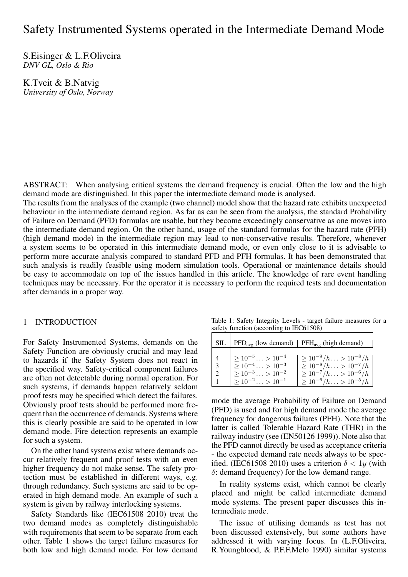# Safety Instrumented Systems operated in the Intermediate Demand Mode

S.Eisinger & L.F.Oliveira *DNV GL, Oslo & Rio*

K.Tveit & B.Natvig *University of Oslo, Norway*

ABSTRACT: When analysing critical systems the demand frequency is crucial. Often the low and the high demand mode are distinguished. In this paper the intermediate demand mode is analysed.

The results from the analyses of the example (two channel) model show that the hazard rate exhibits unexpected behaviour in the intermediate demand region. As far as can be seen from the analysis, the standard Probability of Failure on Demand (PFD) formulas are usable, but they become exceedingly conservative as one moves into the intermediate demand region. On the other hand, usage of the standard formulas for the hazard rate (PFH) (high demand mode) in the intermediate region may lead to non-conservative results. Therefore, whenever a system seems to be operated in this intermediate demand mode, or even only close to it is advisable to perform more accurate analysis compared to standard PFD and PFH formulas. It has been demonstrated that such analysis is readily feasible using modern simulation tools. Operational or maintenance details should be easy to accommodate on top of the issues handled in this article. The knowledge of rare event handling techniques may be necessary. For the operator it is necessary to perform the required tests and documentation after demands in a proper way.

## 1 INTRODUCTION

For Safety Instrumented Systems, demands on the Safety Function are obviously crucial and may lead to hazards if the Safety System does not react in the specified way. Safety-critical component failures are often not detectable during normal operation. For such systems, if demands happen relatively seldom proof tests may be specified which detect the failures. Obviously proof tests should be performed more frequent than the occurrence of demands. Systems where this is clearly possible are said to be operated in low demand mode. Fire detection represents an example for such a system.

On the other hand systems exist where demands occur relatively frequent and proof tests with an even higher frequency do not make sense. The safety protection must be established in different ways, e.g. through redundancy. Such systems are said to be operated in high demand mode. An example of such a system is given by railway interlocking systems.

Safety Standards like (IEC61508 2010) treat the two demand modes as completely distinguishable with requirements that seem to be separate from each other. Table 1 shows the target failure measures for both low and high demand mode. For low demand

Table 1: Safety Integrity Levels - target failure measures for a safety function (according to IEC61508)

| <b>SIL</b>           |                                                                                                                                 | $\text{PFD}_{\text{avg}}$ (low demand)   $\text{PFH}_{\text{avg}}$ (high demand)                                                               |
|----------------------|---------------------------------------------------------------------------------------------------------------------------------|------------------------------------------------------------------------------------------------------------------------------------------------|
| $\overline{3}$<br>-2 | $> 10^{-5} \ldots > 10^{-4}$<br>$> 10^{-4} \ldots > 10^{-3}$<br>$\geq 10^{-3} \ldots > 10^{-2}$<br>$> 10^{-2} \ldots > 10^{-1}$ | $\geq 10^{-9}/h \ldots > 10^{-8}/h$<br>$\geq 10^{-8}/h \ldots > 10^{-7}/h$<br>$\geq 10^{-7}/h$ > $10^{-6}/h$<br>$\geq 10^{-6}/h$ > $10^{-5}/h$ |

mode the average Probability of Failure on Demand (PFD) is used and for high demand mode the average frequency for dangerous failures (PFH). Note that the latter is called Tolerable Hazard Rate (THR) in the railway industry (see (EN50126 1999)). Note also that the PFD cannot directly be used as acceptance criteria - the expected demand rate needs always to be specified. (IEC61508 2010) uses a criterion  $\delta < 1y$  (with *δ*: demand frequency) for the low demand range.

In reality systems exist, which cannot be clearly placed and might be called intermediate demand mode systems. The present paper discusses this intermediate mode.

The issue of utilising demands as test has not been discussed extensively, but some authors have addressed it with varying focus. In (L.F.Oliveira, R.Youngblood, & P.F.F.Melo 1990) similar systems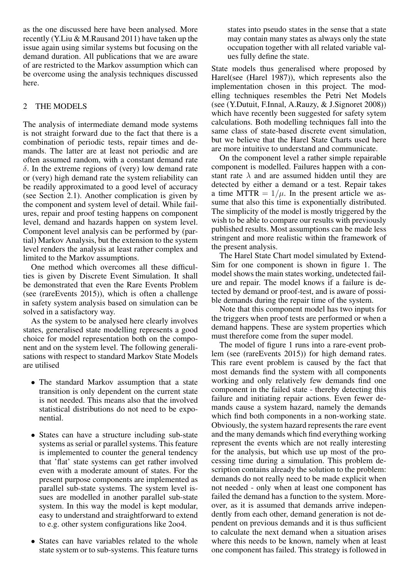as the one discussed here have been analysed. More recently (Y.Liu & M.Rausand 2011) have taken up the issue again using similar systems but focusing on the demand duration. All publications that we are aware of are restricted to the Markov assumption which can be overcome using the analysis techniques discussed here.

# 2 THE MODELS

The analysis of intermediate demand mode systems is not straight forward due to the fact that there is a combination of periodic tests, repair times and demands. The latter are at least not periodic and are often assumed random, with a constant demand rate *δ*. In the extreme regions of (very) low demand rate or (very) high demand rate the system reliability can be readily approximated to a good level of accuracy (see Section 2.1). Another complication is given by the component and system level of detail. While failures, repair and proof testing happens on component level, demand and hazards happen on system level. Component level analysis can be performed by (partial) Markov Analysis, but the extension to the system level renders the analysis at least rather complex and limited to the Markov assumptions.

One method which overcomes all these difficulties is given by Discrete Event Simulation. It shall be demonstrated that even the Rare Events Problem (see (rareEvents 2015)), which is often a challenge in safety system analysis based on simulation can be solved in a satisfactory way.

As the system to be analysed here clearly involves states, generalised state modelling represents a good choice for model representation both on the component and on the system level. The following generalisations with respect to standard Markov State Models are utilised

- *•* The standard Markov assumption that a state transition is only dependent on the current state is not needed. This means also that the involved statistical distributions do not need to be exponential.
- States can have a structure including sub-state systems as serial or parallel systems. This feature is implemented to counter the general tendency that 'flat' state systems can get rather involved even with a moderate amount of states. For the present purpose components are implemented as parallel sub-state systems. The system level issues are modelled in another parallel sub-state system. In this way the model is kept modular, easy to understand and straightforward to extend to e.g. other system configurations like 2oo4.
- States can have variables related to the whole state system or to sub-systems. This feature turns

states into pseudo states in the sense that a state may contain many states as always only the state occupation together with all related variable values fully define the state.

State models thus generalised where proposed by Harel(see (Harel 1987)), which represents also the implementation chosen in this project. The modelling techniques resembles the Petri Net Models (see (Y.Dutuit, F.Innal, A.Rauzy, & J.Signoret 2008)) which have recently been suggested for safety sytem calculations. Both modelling techniques fall into the same class of state-based discrete event simulation, but we believe that the Harel State Charts used here are more intuitive to understand and communicate.

On the component level a rather simple repairable component is modelled. Failures happen with a constant rate  $\lambda$  and are assumed hidden until they are detected by either a demand or a test. Repair takes a time MTTR  $= 1/\mu$ . In the present article we assume that also this time is exponentially distributed. The simplicity of the model is mostly triggered by the wish to be able to compare our results with previously published results. Most assumptions can be made less stringent and more realistic within the framework of the present analysis.

The Harel State Chart model simulated by Extend-Sim for one component is shown in figure 1. The model shows the main states working, undetected failure and repair. The model knows if a failure is detected by demand or proof-test, and is aware of possible demands during the repair time of the system.

Note that this component model has two inputs for the triggers when proof tests are performed or when a demand happens. These are system properties which must therefore come from the super model.

The model of figure 1 runs into a rare-event problem (see (rareEvents 2015)) for high demand rates. This rare event problem is caused by the fact that most demands find the system with all components working and only relatively few demands find one component in the failed state - thereby detecting this failure and initiating repair actions. Even fewer demands cause a system hazard, namely the demands which find both components in a non-working state. Obviously, the system hazard represents the rare event and the many demands which find everything working represent the events which are not really interesting for the analysis, but which use up most of the processing time during a simulation. This problem description contains already the solution to the problem: demands do not really need to be made explicit when not needed - only when at least one component has failed the demand has a function to the system. Moreover, as it is assumed that demands arrive independently from each other, demand generation is not dependent on previous demands and it is thus sufficient to calculate the next demand when a situation arises where this needs to be known, namely when at least one component has failed. This strategy is followed in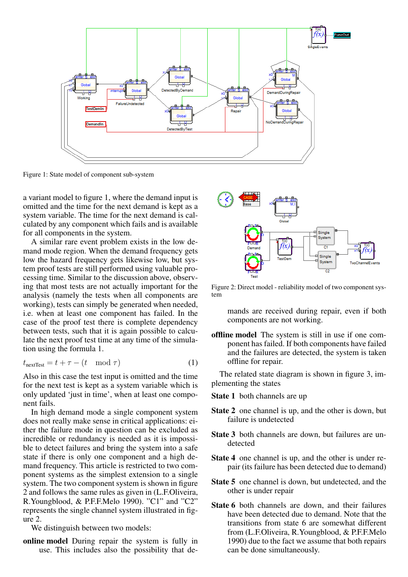

Figure 1: State model of component sub-system

a variant model to figure 1, where the demand input is omitted and the time for the next demand is kept as a system variable. The time for the next demand is calculated by any component which fails and is available for all components in the system.

A similar rare event problem exists in the low demand mode region. When the demand frequency gets low the hazard frequency gets likewise low, but system proof tests are still performed using valuable processing time. Similar to the discussion above, observing that most tests are not actually important for the analysis (namely the tests when all components are working), tests can simply be generated when needed, i.e. when at least one component has failed. In the case of the proof test there is complete dependency between tests, such that it is again possible to calculate the next proof test time at any time of the simulation using the formula 1.

$$
t_{\text{nextTest}} = t + \tau - (t \mod \tau) \tag{1}
$$

Also in this case the test input is omitted and the time for the next test is kept as a system variable which is only updated 'just in time', when at least one component fails.

In high demand mode a single component system does not really make sense in critical applications: either the failure mode in question can be excluded as incredible or redundancy is needed as it is impossible to detect failures and bring the system into a safe state if there is only one component and a high demand frequency. This article is restricted to two component systems as the simplest extension to a single system. The two component system is shown in figure 2 and follows the same rules as given in (L.F.Oliveira, R.Youngblood, & P.F.F.Melo 1990). "C1" and "C2" represents the single channel system illustrated in figure 2.

We distinguish between two models:

online model During repair the system is fully in use. This includes also the possibility that de-



Figure 2: Direct model - reliability model of two component system

mands are received during repair, even if both components are not working.

offline model The system is still in use if one component has failed. If both components have failed and the failures are detected, the system is taken offline for repair.

The related state diagram is shown in figure 3, implementing the states

- State 1 both channels are up
- State 2 one channel is up, and the other is down, but failure is undetected
- State 3 both channels are down, but failures are undetected
- State 4 one channel is up, and the other is under repair (its failure has been detected due to demand)
- State 5 one channel is down, but undetected, and the other is under repair
- State 6 both channels are down, and their failures have been detected due to demand. Note that the transitions from state 6 are somewhat different from (L.F.Oliveira, R.Youngblood, & P.F.F.Melo 1990) due to the fact we assume that both repairs can be done simultaneously.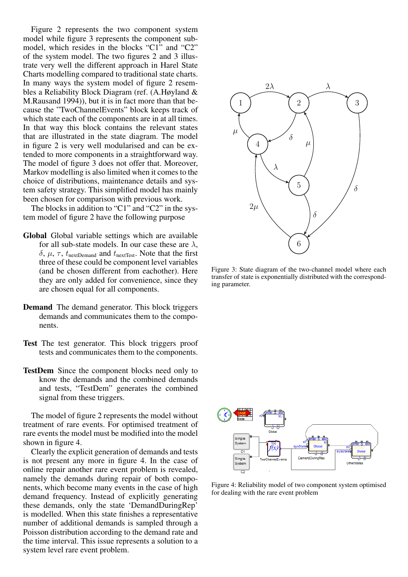Figure 2 represents the two component system model while figure 3 represents the component submodel, which resides in the blocks "C1" and "C2" of the system model. The two figures 2 and 3 illustrate very well the different approach in Harel State Charts modelling compared to traditional state charts. In many ways the system model of figure 2 resembles a Reliability Block Diagram (ref. (A.Høyland & M.Rausand 1994)), but it is in fact more than that because the "TwoChannelEvents" block keeps track of which state each of the components are in at all times. In that way this block contains the relevant states that are illustrated in the state diagram. The model in figure 2 is very well modularised and can be extended to more components in a straightforward way. The model of figure 3 does not offer that. Moreover, Markov modelling is also limited when it comes to the choice of distributions, maintenance details and system safety strategy. This simplified model has mainly been chosen for comparison with previous work.

The blocks in addition to "C1" and "C2" in the system model of figure 2 have the following purpose

- Global Global variable settings which are available for all sub-state models. In our case these are *λ*,  $δ$ ,  $μ$ ,  $τ$ ,  $t$ <sub>nextDemand</sub> and  $t$ <sub>nextTest</sub>. Note that the first three of these could be component level variables (and be chosen different from eachother). Here they are only added for convenience, since they are chosen equal for all components.
- Demand The demand generator. This block triggers demands and communicates them to the components.
- Test The test generator. This block triggers proof tests and communicates them to the components.
- TestDem Since the component blocks need only to know the demands and the combined demands and tests, "TestDem" generates the combined signal from these triggers.

The model of figure 2 represents the model without treatment of rare events. For optimised treatment of rare events the model must be modified into the model shown in figure 4.

Clearly the explicit generation of demands and tests is not present any more in figure 4. In the case of online repair another rare event problem is revealed, namely the demands during repair of both components, which become many events in the case of high demand frequency. Instead of explicitly generating these demands, only the state 'DemandDuringRep' is modelled. When this state finishes a representative number of additional demands is sampled through a Poisson distribution according to the demand rate and the time interval. This issue represents a solution to a system level rare event problem.



Figure 3: State diagram of the two-channel model where each transfer of state is exponentially distributed with the corresponding parameter.



Figure 4: Reliability model of two component system optimised for dealing with the rare event problem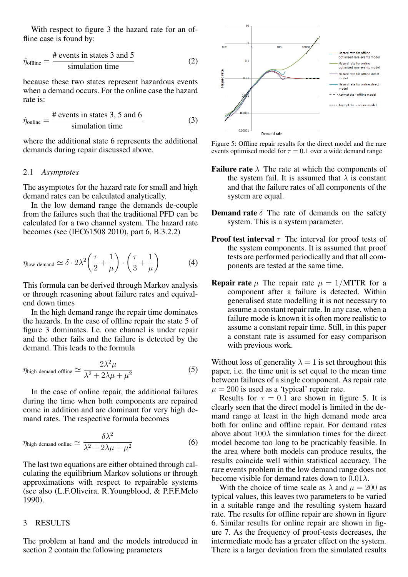With respect to figure 3 the hazard rate for an offline case is found by:

$$
\hat{\eta}_{\text{offline}} = \frac{\text{\# events in states 3 and 5}}{\text{simulation time}} \tag{2}
$$

because these two states represent hazardous events when a demand occurs. For the online case the hazard rate is:

$$
\hat{\eta}_{\text{online}} = \frac{\text{\# events in states 3, 5 and 6}}{\text{simulation time}} \tag{3}
$$

where the additional state 6 represents the additional demands during repair discussed above.

### 2.1 *Asymptotes*

The asymptotes for the hazard rate for small and high demand rates can be calculated analytically.

In the low demand range the demands de-couple from the failures such that the traditional PFD can be calculated for a two channel system. The hazard rate becomes (see (IEC61508 2010), part 6, B.3.2.2)

$$
\eta_{\text{low demand}} \simeq \delta \cdot 2\lambda^2 \left(\frac{\tau}{2} + \frac{1}{\mu}\right) \cdot \left(\frac{\tau}{3} + \frac{1}{\mu}\right) \tag{4}
$$

This formula can be derived through Markov analysis or through reasoning about failure rates and equivalend down times

In the high demand range the repair time dominates the hazards. In the case of offline repair the state 5 of figure 3 dominates. I.e. one channel is under repair and the other fails and the failure is detected by the demand. This leads to the formula

$$
\eta_{\text{high demand ofline}} \simeq \frac{2\lambda^2 \mu}{\lambda^2 + 2\lambda\mu + \mu^2} \tag{5}
$$

In the case of online repair, the additional failures during the time when both components are repaired come in addition and are dominant for very high demand rates. The respective formula becomes

$$
\eta_{\text{high demand online}} \simeq \frac{\delta\lambda^2}{\lambda^2 + 2\lambda\mu + \mu^2} \tag{6}
$$

The last two equations are either obtained through calculating the equilibrium Markov solutions or through approximations with respect to repairable systems (see also (L.F.Oliveira, R.Youngblood, & P.F.F.Melo 1990).

## 3 RESULTS

The problem at hand and the models introduced in section 2 contain the following parameters



Figure 5: Offline repair results for the direct model and the rare events optimised model for  $\tau = 0.1$  over a wide demand range

- **Failure rate**  $\lambda$  The rate at which the components of the system fail. It is assumed that  $\lambda$  is constant and that the failure rates of all components of the system are equal.
- **Demand rate**  $\delta$  The rate of demands on the safety system. This is a system parameter.
- **Proof test interval**  $\tau$  The interval for proof tests of the system components. It is assumed that proof tests are performed periodically and that all components are tested at the same time.
- **Repair rate**  $\mu$  The repair rate  $\mu = 1/MTTR$  for a component after a failure is detected. Within generalised state modelling it is not necessary to assume a constant repair rate. In any case, when a failure mode is known it is often more realistic to assume a constant repair time. Still, in this paper a constant rate is assumed for easy comparison with previous work.

Without loss of generality  $\lambda = 1$  is set throughout this paper, i.e. the time unit is set equal to the mean time between failures of a single component. As repair rate  $\mu = 200$  is used as a 'typical' repair rate.

Results for  $\tau = 0.1$  are shown in figure 5. It is clearly seen that the direct model is limited in the demand range at least in the high demand mode area both for online and offline repair. For demand rates above about  $100\lambda$  the simulation times for the direct model become too long to be practicably feasible. In the area where both models can produce results, the results coincide well within statistical accuracy. The rare events problem in the low demand range does not become visible for demand rates down to  $0.01\lambda$ .

With the choice of time scale as  $\lambda$  and  $\mu = 200$  as typical values, this leaves two parameters to be varied in a suitable range and the resulting system hazard rate. The results for offline repair are shown in figure 6. Similar results for online repair are shown in figure 7. As the frequency of proof-tests decreases, the intermediate mode has a greater effect on the system. There is a larger deviation from the simulated results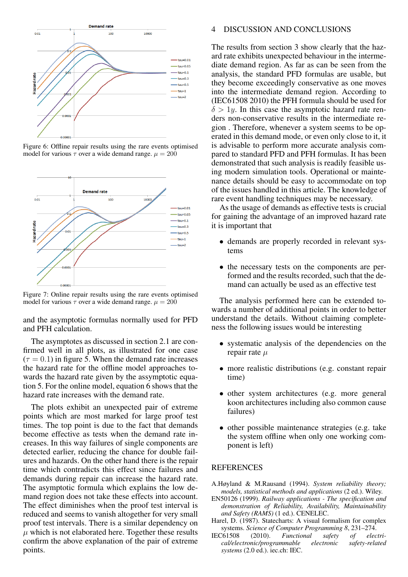

Figure 6: Offline repair results using the rare events optimised model for various  $\tau$  over a wide demand range.  $\mu = 200$ 



Figure 7: Online repair results using the rare events optimised model for various  $\tau$  over a wide demand range.  $\mu = 200$ 

and the asymptotic formulas normally used for PFD and PFH calculation.

The asymptotes as discussed in section 2.1 are confirmed well in all plots, as illustrated for one case  $(\tau = 0.1)$  in figure 5. When the demand rate increases the hazard rate for the offline model approaches towards the hazard rate given by the assymptotic equation 5. For the online model, equation 6 shows that the hazard rate increases with the demand rate.

The plots exhibit an unexpected pair of extreme points which are most marked for large proof test times. The top point is due to the fact that demands become effective as tests when the demand rate increases. In this way failures of single components are detected earlier, reducing the chance for double failures and hazards. On the other hand there is the repair time which contradicts this effect since failures and demands during repair can increase the hazard rate. The asymptotic formula which explains the low demand region does not take these effects into account. The effect diminishes when the proof test interval is reduced and seems to vanish altogether for very small proof test intervals. There is a similar dependency on  $\mu$  which is not elaborated here. Together these results confirm the above explanation of the pair of extreme points.

#### 4 DISCUSSION AND CONCLUSIONS

The results from section 3 show clearly that the hazard rate exhibits unexpected behaviour in the intermediate demand region. As far as can be seen from the analysis, the standard PFD formulas are usable, but they become exceedingly conservative as one moves into the intermediate demand region. According to (IEC61508 2010) the PFH formula should be used for  $\delta$  > 1*y*. In this case the asymptotic hazard rate renders non-conservative results in the intermediate region . Therefore, whenever a system seems to be operated in this demand mode, or even only close to it, it is advisable to perform more accurate analysis compared to standard PFD and PFH formulas. It has been demonstrated that such analysis is readily feasible using modern simulation tools. Operational or maintenance details should be easy to accommodate on top of the issues handled in this article. The knowledge of rare event handling techniques may be necessary.

As the usage of demands as effective tests is crucial for gaining the advantage of an improved hazard rate it is important that

- demands are properly recorded in relevant systems
- the necessary tests on the components are performed and the results recorded, such that the demand can actually be used as an effective test

The analysis performed here can be extended towards a number of additional points in order to better understand the details. Without claiming completeness the following issues would be interesting

- systematic analysis of the dependencies on the repair rate *µ*
- more realistic distributions (e.g. constant repair time)
- other system architectures (e.g. more general koon architectures including also common cause failures)
- other possible maintenance strategies (e.g. take the system offline when only one working component is left)

#### REFERENCES

- A.Høyland & M.Rausand (1994). *System reliability theory; models, statistical methods and applications* (2 ed.). Wiley.
- EN50126 (1999). *Railway applications The specification and demonstration of Reliability, Availability, Maintainability and Safety (RAMS)* (1 ed.). CENELEC.
- Harel, D. (1987). Statecharts: A visual formalism for complex systems. *Science of Computer Programming 8*, 231–274.
- IEC61508 (2010). *Functional safety of electrical/electronic/programmable electronic safety-related systems* (2.0 ed.). iec.ch: IEC.